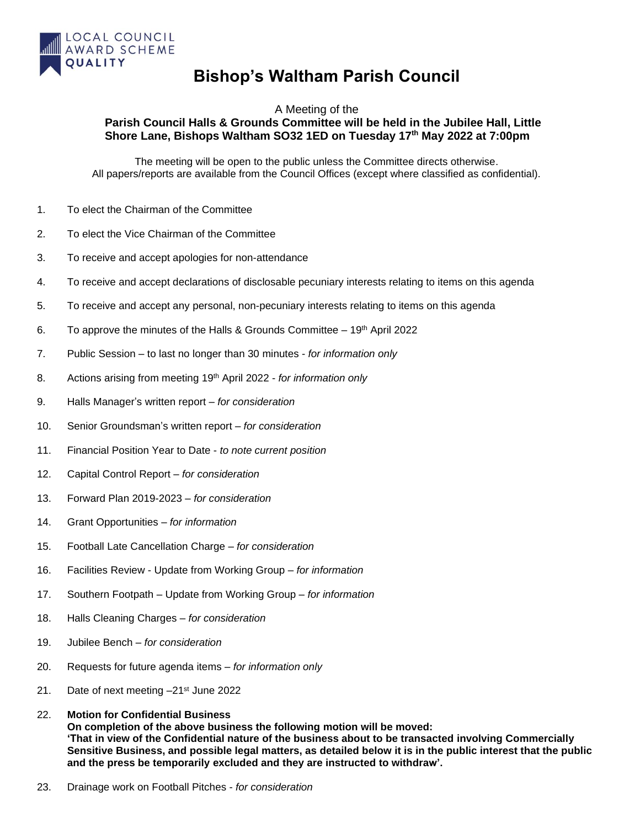

## **Bishop's Waltham Parish Council**

## A Meeting of the **Parish Council Halls & Grounds Committee will be held in the Jubilee Hall, Little Shore Lane, Bishops Waltham SO32 1ED on Tuesday 17 th May 2022 at 7:00pm**

The meeting will be open to the public unless the Committee directs otherwise. All papers/reports are available from the Council Offices (except where classified as confidential).

- 1. To elect the Chairman of the Committee
- 2. To elect the Vice Chairman of the Committee
- 3. To receive and accept apologies for non-attendance
- 4. To receive and accept declarations of disclosable pecuniary interests relating to items on this agenda
- 5. To receive and accept any personal, non-pecuniary interests relating to items on this agenda
- 6. To approve the minutes of the Halls & Grounds Committee  $-19<sup>th</sup>$  April 2022
- 7. Public Session to last no longer than 30 minutes *for information only*
- 8. Actions arising from meeting 19 th April 2022 *for information only*
- 9. Halls Manager's written report *for consideration*
- 10. Senior Groundsman's written report *for consideration*
- 11. Financial Position Year to Date *to note current position*
- 12. Capital Control Report *for consideration*
- 13. Forward Plan 2019-2023 *for consideration*
- 14. Grant Opportunities *– for information*
- 15. Football Late Cancellation Charge *– for consideration*
- 16. Facilities Review Update from Working Group *– for information*
- 17. Southern Footpath Update from Working Group *– for information*
- 18. Halls Cleaning Charges *– for consideration*
- 19. Jubilee Bench *– for consideration*
- 20. Requests for future agenda items *for information only*
- 21. Date of next meeting -21<sup>st</sup> June 2022

## 22. **Motion for Confidential Business**

**On completion of the above business the following motion will be moved: 'That in view of the Confidential nature of the business about to be transacted involving Commercially Sensitive Business, and possible legal matters, as detailed below it is in the public interest that the public and the press be temporarily excluded and they are instructed to withdraw'.**

23. Drainage work on Football Pitches - *for consideration*